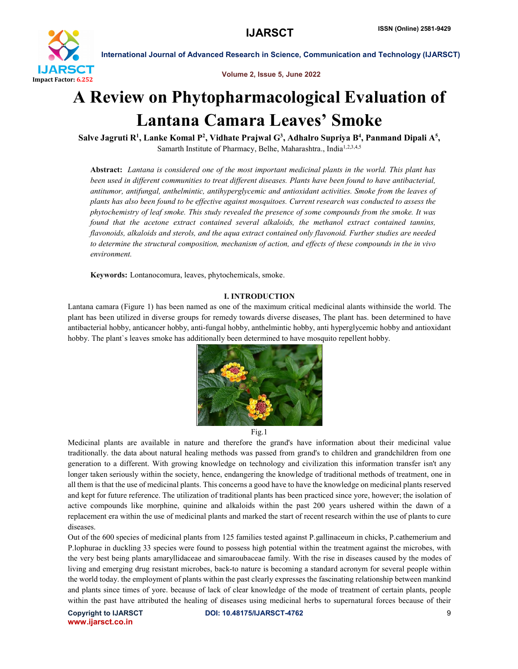

Volume 2, Issue 5, June 2022

# A Review on Phytopharmacological Evaluation of Lantana Camara Leaves' Smoke

Salve Jagruti R<sup>1</sup>, Lanke Komal P<sup>2</sup>, Vidhate Prajwal G<sup>3</sup>, Adhalro Supriya B<sup>4</sup>, Panmand Dipali A<sup>5</sup>, Samarth Institute of Pharmacy, Belhe, Maharashtra., India<sup>1,2,3,4,5</sup>

Abstract: *Lantana is considered one of the most important medicinal plants in the world. This plant has been used in different communities to treat different diseases. Plants have been found to have antibacterial, antitumor, antifungal, anthelmintic, antihyperglycemic and antioxidant activities. Smoke from the leaves of plants has also been found to be effective against mosquitoes. Current research was conducted to assess the phytochemistry of leaf smoke. This study revealed the presence of some compounds from the smoke. It was*  found that the acetone extract contained several alkaloids, the methanol extract contained tannins, *flavonoids, alkaloids and sterols, and the aqua extract contained only flavonoid. Further studies are needed to determine the structural composition, mechanism of action, and effects of these compounds in the in vivo environment.*

Keywords: Lontanocomura, leaves, phytochemicals, smoke.

# I. INTRODUCTION

Lantana camara (Figure 1) has been named as one of the maximum critical medicinal alants withinside the world. The plant has been utilized in diverse groups for remedy towards diverse diseases, The plant has. been determined to have antibacterial hobby, anticancer hobby, anti-fungal hobby, anthelmintic hobby, anti hyperglycemic hobby and antioxidant hobby. The plant`s leaves smoke has additionally been determined to have mosquito repellent hobby.



Fig.1

Medicinal plants are available in nature and therefore the grand's have information about their medicinal value traditionally. the data about natural healing methods was passed from grand's to children and grandchildren from one generation to a different. With growing knowledge on technology and civilization this information transfer isn't any longer taken seriously within the society, hence, endangering the knowledge of traditional methods of treatment, one in all them is that the use of medicinal plants. This concerns a good have to have the knowledge on medicinal plants reserved and kept for future reference. The utilization of traditional plants has been practiced since yore, however; the isolation of active compounds like morphine, quinine and alkaloids within the past 200 years ushered within the dawn of a replacement era within the use of medicinal plants and marked the start of recent research within the use of plants to cure diseases.

Out of the 600 species of medicinal plants from 125 families tested against P.gallinaceum in chicks, P.cathemerium and P.lophurae in duckling 33 species were found to possess high potential within the treatment against the microbes, with the very best being plants amaryllidaceae and simaroubaceae family. With the rise in diseases caused by the modes of living and emerging drug resistant microbes, back-to nature is becoming a standard acronym for several people within the world today. the employment of plants within the past clearly expresses the fascinating relationship between mankind and plants since times of yore. because of lack of clear knowledge of the mode of treatment of certain plants, people within the past have attributed the healing of diseases using medicinal herbs to supernatural forces because of their

www.ijarsct.co.in

Copyright to IJARSCT **DOI: 10.48175/IJARSCT-4762** 9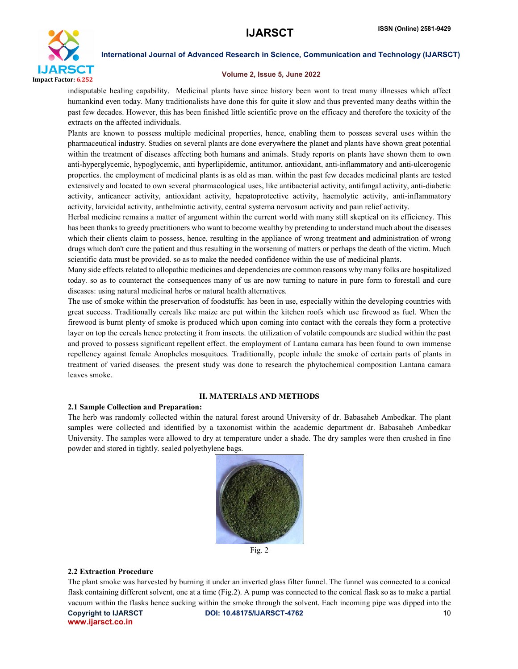

## Volume 2, Issue 5, June 2022

indisputable healing capability. Medicinal plants have since history been wont to treat many illnesses which affect humankind even today. Many traditionalists have done this for quite it slow and thus prevented many deaths within the past few decades. However, this has been finished little scientific prove on the efficacy and therefore the toxicity of the extracts on the affected individuals.

Plants are known to possess multiple medicinal properties, hence, enabling them to possess several uses within the pharmaceutical industry. Studies on several plants are done everywhere the planet and plants have shown great potential within the treatment of diseases affecting both humans and animals. Study reports on plants have shown them to own anti-hyperglycemic, hypoglycemic, anti hyperlipidemic, antitumor, antioxidant, anti-inflammatory and anti-ulcerogenic properties. the employment of medicinal plants is as old as man. within the past few decades medicinal plants are tested extensively and located to own several pharmacological uses, like antibacterial activity, antifungal activity, anti-diabetic activity, anticancer activity, antioxidant activity, hepatoprotective activity, haemolytic activity, anti-inflammatory activity, larvicidal activity, anthelmintic activity, central systema nervosum activity and pain relief activity.

Herbal medicine remains a matter of argument within the current world with many still skeptical on its efficiency. This has been thanks to greedy practitioners who want to become wealthy by pretending to understand much about the diseases which their clients claim to possess, hence, resulting in the appliance of wrong treatment and administration of wrong drugs which don't cure the patient and thus resulting in the worsening of matters or perhaps the death of the victim. Much scientific data must be provided. so as to make the needed confidence within the use of medicinal plants.

Many side effects related to allopathic medicines and dependencies are common reasons why many folks are hospitalized today. so as to counteract the consequences many of us are now turning to nature in pure form to forestall and cure diseases: using natural medicinal herbs or natural health alternatives.

The use of smoke within the preservation of foodstuffs: has been in use, especially within the developing countries with great success. Traditionally cereals like maize are put within the kitchen roofs which use firewood as fuel. When the firewood is burnt plenty of smoke is produced which upon coming into contact with the cereals they form a protective layer on top the cereals hence protecting it from insects. the utilization of volatile compounds are studied within the past and proved to possess significant repellent effect. the employment of Lantana camara has been found to own immense repellency against female Anopheles mosquitoes. Traditionally, people inhale the smoke of certain parts of plants in treatment of varied diseases. the present study was done to research the phytochemical composition Lantana camara leaves smoke.

# II. MATERIALS AND METHODS

# 2.1 Sample Collection and Preparation:

The herb was randomly collected within the natural forest around University of dr. Babasaheb Ambedkar. The plant samples were collected and identified by a taxonomist within the academic department dr. Babasaheb Ambedkar University. The samples were allowed to dry at temperature under a shade. The dry samples were then crushed in fine powder and stored in tightly. sealed polyethylene bags.



# Fig. 2

## 2.2 Extraction Procedure

Copyright to IJARSCT **DOI: 10.48175/IJARSCT-4762** 10 www.ijarsct.co.in The plant smoke was harvested by burning it under an inverted glass filter funnel. The funnel was connected to a conical flask containing different solvent, one at a time (Fig.2). A pump was connected to the conical flask so as to make a partial vacuum within the flasks hence sucking within the smoke through the solvent. Each incoming pipe was dipped into the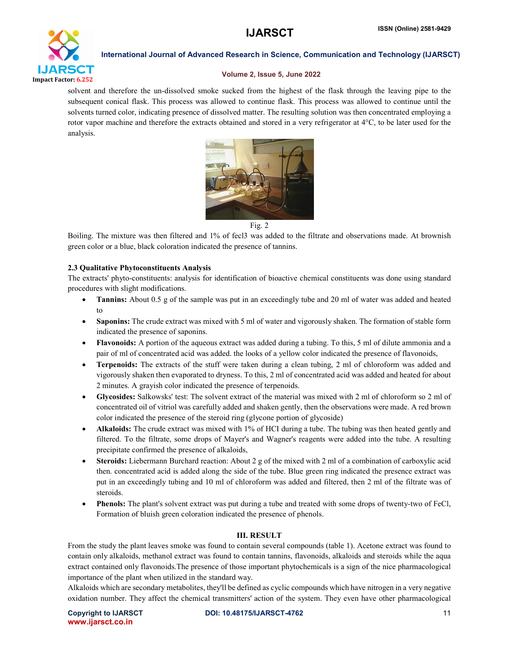

## Volume 2, Issue 5, June 2022

solvent and therefore the un-dissolved smoke sucked from the highest of the flask through the leaving pipe to the subsequent conical flask. This process was allowed to continue flask. This process was allowed to continue until the solvents turned color, indicating presence of dissolved matter. The resulting solution was then concentrated employing a rotor vapor machine and therefore the extracts obtained and stored in a very refrigerator at 4<sup>o</sup>C, to be later used for the analysis.



Fig. 2

Boiling. The mixture was then filtered and 1% of fecl3 was added to the filtrate and observations made. At brownish green color or a blue, black coloration indicated the presence of tannins.

# 2.3 Qualitative Phytoconstituents Analysis

The extracts' phyto-constituents: analysis for identification of bioactive chemical constituents was done using standard procedures with slight modifications.

- Tannins: About 0.5 g of the sample was put in an exceedingly tube and 20 ml of water was added and heated to
- Saponins: The crude extract was mixed with 5 ml of water and vigorously shaken. The formation of stable form indicated the presence of saponins.
- Flavonoids: A portion of the aqueous extract was added during a tubing. To this, 5 ml of dilute ammonia and a pair of ml of concentrated acid was added. the looks of a yellow color indicated the presence of flavonoids,
- Terpenoids: The extracts of the stuff were taken during a clean tubing, 2 ml of chloroform was added and vigorously shaken then evaporated to dryness. To this, 2 ml of concentrated acid was added and heated for about 2 minutes. A grayish color indicated the presence of terpenoids.
- Glycosides: Salkowsks' test: The solvent extract of the material was mixed with 2 ml of chloroform so 2 ml of concentrated oil of vitriol was carefully added and shaken gently, then the observations were made. A red brown color indicated the presence of the steroid ring (glycone portion of glycoside)
- Alkaloids: The crude extract was mixed with 1% of HCI during a tube. The tubing was then heated gently and filtered. To the filtrate, some drops of Mayer's and Wagner's reagents were added into the tube. A resulting precipitate confirmed the presence of alkaloids,
- Steroids: Liebermann Burchard reaction: About 2 g of the mixed with 2 ml of a combination of carboxylic acid then. concentrated acid is added along the side of the tube. Blue green ring indicated the presence extract was put in an exceedingly tubing and 10 ml of chloroform was added and filtered, then 2 ml of the filtrate was of steroids.
- Phenols: The plant's solvent extract was put during a tube and treated with some drops of twenty-two of FeCl, Formation of bluish green coloration indicated the presence of phenols.

# III. RESULT

From the study the plant leaves smoke was found to contain several compounds (table 1). Acetone extract was found to contain only alkaloids, methanol extract was found to contain tannins, flavonoids, alkaloids and steroids while the aqua extract contained only flavonoids.The presence of those important phytochemicals is a sign of the nice pharmacological importance of the plant when utilized in the standard way.

Alkaloids which are secondary metabolites, they'll be defined as cyclic compounds which have nitrogen in a very negative oxidation number. They affect the chemical transmitters' action of the system. They even have other pharmacological

www.ijarsct.co.in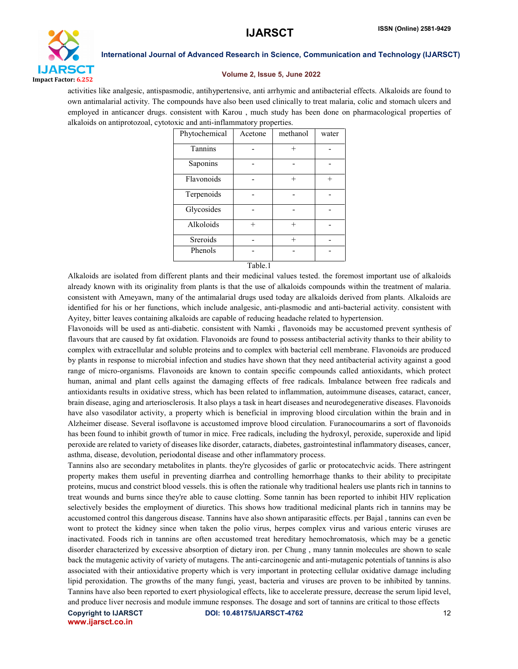

#### Volume 2, Issue 5, June 2022

activities like analgesic, antispasmodic, antihypertensive, anti arrhymic and antibacterial effects. Alkaloids are found to own antimalarial activity. The compounds have also been used clinically to treat malaria, colic and stomach ulcers and employed in anticancer drugs. consistent with Karou , much study has been done on pharmacological properties of alkaloids on antiprotozoal, cytotoxic and anti-inflammatory properties.

| Phytochemical | Acetone | methanol | water |
|---------------|---------|----------|-------|
| Tannins       |         |          |       |
| Saponins      |         |          |       |
| Flavonoids    |         | $+$      | $+$   |
| Terpenoids    |         |          |       |
| Glycosides    |         |          |       |
| Alkoloids     | $^{+}$  |          |       |
| Sreroids      |         | $+$      |       |
| Phenols       |         |          |       |
|               |         |          |       |

Table.1

Alkaloids are isolated from different plants and their medicinal values tested. the foremost important use of alkaloids already known with its originality from plants is that the use of alkaloids compounds within the treatment of malaria. consistent with Ameyawn, many of the antimalarial drugs used today are alkaloids derived from plants. Alkaloids are identified for his or her functions, which include analgesic, anti-plasmodic and anti-bacterial activity. consistent with Ayitey, bitter leaves containing alkaloids are capable of reducing headache related to hypertension.

Flavonoids will be used as anti-diabetic. consistent with Namki , flavonoids may be accustomed prevent synthesis of flavours that are caused by fat oxidation. Flavonoids are found to possess antibacterial activity thanks to their ability to complex with extracellular and soluble proteins and to complex with bacterial cell membrane. Flavonoids are produced by plants in response to microbial infection and studies have shown that they need antibacterial activity against a good range of micro-organisms. Flavonoids are known to contain specific compounds called antioxidants, which protect human, animal and plant cells against the damaging effects of free radicals. Imbalance between free radicals and antioxidants results in oxidative stress, which has been related to inflammation, autoimmune diseases, cataract, cancer, brain disease, aging and arteriosclerosis. It also plays a task in heart diseases and neurodegenerative diseases. Flavonoids have also vasodilator activity, a property which is beneficial in improving blood circulation within the brain and in Alzheimer disease. Several isoflavone is accustomed improve blood circulation. Furanocoumarins a sort of flavonoids has been found to inhibit growth of tumor in mice. Free radicals, including the hydroxyl, peroxide, superoxide and lipid peroxide are related to variety of diseases like disorder, cataracts, diabetes, gastrointestinal inflammatory diseases, cancer, asthma, disease, devolution, periodontal disease and other inflammatory process.

Tannins also are secondary metabolites in plants. they're glycosides of garlic or protocatechvic acids. There astringent property makes them useful in preventing diarrhea and controlling hemorrhage thanks to their ability to precipitate proteins, mucus and constrict blood vessels. this is often the rationale why traditional healers use plants rich in tannins to treat wounds and burns since they're able to cause clotting. Some tannin has been reported to inhibit HIV replication selectively besides the employment of diuretics. This shows how traditional medicinal plants rich in tannins may be accustomed control this dangerous disease. Tannins have also shown antiparasitic effects. per Bajal , tannins can even be wont to protect the kidney since when taken the polio virus, herpes complex virus and various enteric viruses are inactivated. Foods rich in tannins are often accustomed treat hereditary hemochromatosis, which may be a genetic disorder characterized by excessive absorption of dietary iron. per Chung , many tannin molecules are shown to scale back the mutagenic activity of variety of mutagens. The anti-carcinogenic and anti-mutagenic potentials of tannins is also associated with their antioxidative property which is very important in protecting cellular oxidative damage including lipid peroxidation. The growths of the many fungi, yeast, bacteria and viruses are proven to be inhibited by tannins. Tannins have also been reported to exert physiological effects, like to accelerate pressure, decrease the serum lipid level, and produce liver necrosis and module immune responses. The dosage and sort of tannins are critical to those effects

www.ijarsct.co.in

Copyright to IJARSCT **DOI: 10.48175/IJARSCT-4762** 12